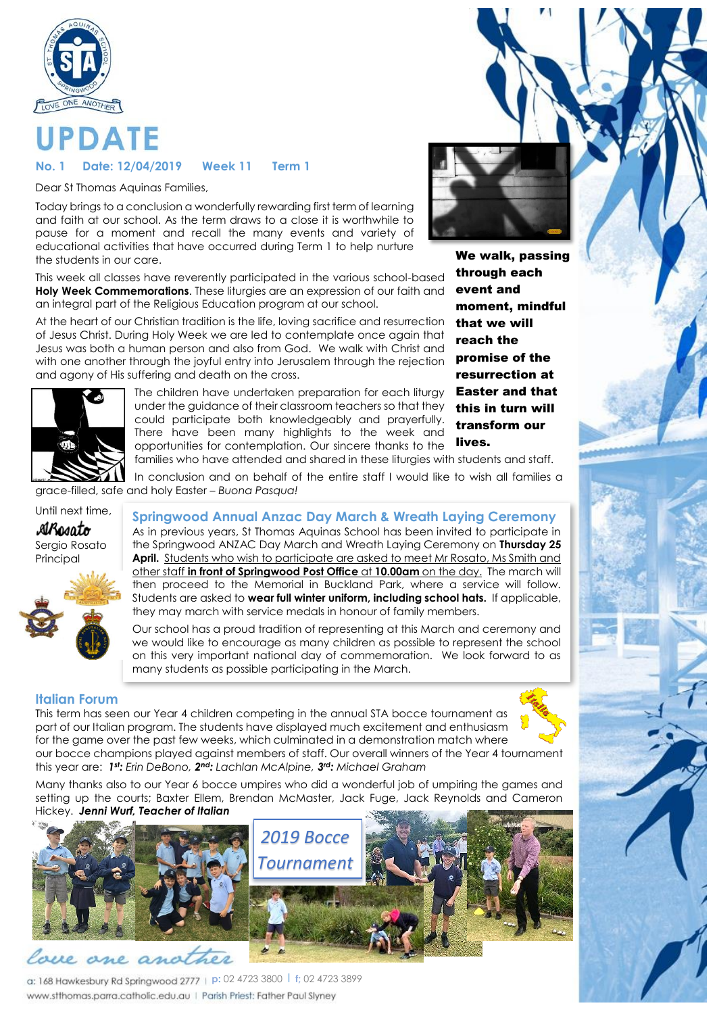

# **PDATE**

### **No. 1 Date: 12/04/2019 Week 11 Term 1**

Dear St Thomas Aquinas Families,

Today brings to a conclusion a wonderfully rewarding first term of learning and faith at our school. As the term draws to a close it is worthwhile to pause for a moment and recall the many events and variety of educational activities that have occurred during Term 1 to help nurture the students in our care.

This week all classes have reverently participated in the various school-based **Holy Week Commemorations**. These liturgies are an expression of our faith and an integral part of the Religious Education program at our school.

At the heart of our Christian tradition is the life, loving sacrifice and resurrection of Jesus Christ. During Holy Week we are led to contemplate once again that Jesus was both a human person and also from God. We walk with Christ and with one another through the joyful entry into Jerusalem through the rejection and agony of His suffering and death on the cross.



The children have undertaken preparation for each liturgy under the guidance of their classroom teachers so that they could participate both knowledgeably and prayerfully. There have been many highlights to the week and opportunities for contemplation. Our sincere thanks to the families who have attended and shared in these liturgies with students and staff. this in turn will transform our lives.

We walk, passing through each event and moment, mindful that we will reach the promise of the resurrection at Easter and that

In conclusion and on behalf of the entire staff I would like to wish all families a grace-filled, safe and holy Easter – *Buona Pasqua!*

# Until next time,

ARosato Sergio Rosato Principal



**Springwood Annual Anzac Day March & Wreath Laying Ceremony**

As in previous years, St Thomas Aquinas School has been invited to participate in the Springwood ANZAC Day March and Wreath Laying Ceremony on **Thursday 25 April.** Students who wish to participate are asked to meet Mr Rosato, Ms Smith and other staff **in front of Springwood Post Office** at **10.00am** on the day. The march will then proceed to the Memorial in Buckland Park, where a service will follow. Students are asked to **wear full winter uniform, including school hats.** If applicable, they may march with service medals in honour of family members.

Our school has a proud tradition of representing at this March and ceremony and we would like to encourage as many children as possible to represent the school on this very important national day of commemoration. We look forward to as many students as possible participating in the March.

### **Italian Forum**

This term has seen our Year 4 children competing in the annual STA bocce tournament as part of our Italian program. The students have displayed much excitement and enthusiasm for the game over the past few weeks, which culminated in a demonstration match where our bocce champions played against members of staff. Our overall winners of the Year 4 tournament this year are: *1 st: Erin DeBono, 2 nd: Lachlan McAlpine, 3 rd: Michael Graham*



Many thanks also to our Year 6 bocce umpires who did a wonderful job of umpiring the games and setting up the courts; Baxter Ellem, Brendan McMaster, Jack Fuge, Jack Reynolds and Cameron



**p:** 02 4723 3800 l **f;** 02 4723 3899 www.stthomas.parra.catholic.edu.au | Parish Priest: Father Paul Slyney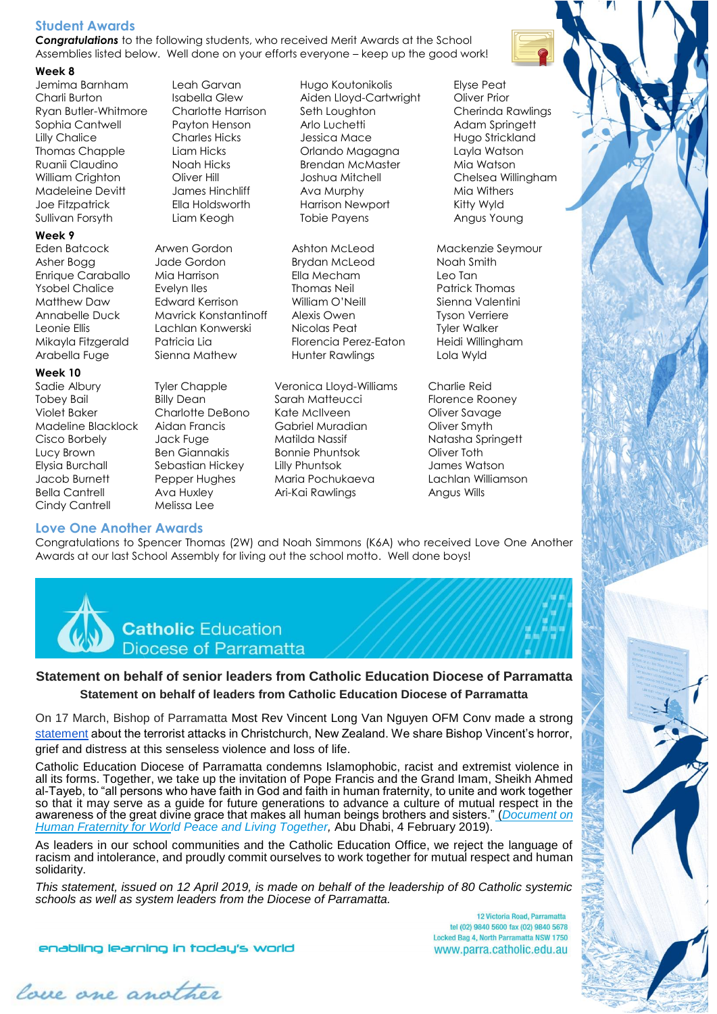### **Student Awards**

*Congratulations* to the following students, who received Merit Awards at the School Assemblies listed below. Well done on your efforts everyone – keep up the good work!

### **Week 8**

Sullivan Forsyth Liam Keogh Tobie Payens Angus Young

### **Week 9**

### **Week 10**

- Eden Batcock Arwen Gordon Ashton McLeod Mackenzie Seymour Asher Bogg Jade Gordon Brydan McLeod Noah Smith Enrique Caraballo Mia Harrison Ella Mecham Leo Tan Ysobel Chalice Evelyn Iles Thomas Neil Patrick Thomas Matthew Daw Edward Kerrison William O'Neill Sienna Valentini Annabelle Duck Mavrick Konstantinoff Alexis Owen Tyson Verriere Leonie Ellis Lachlan Konwerski Nicolas Peat Tyler Walker Mikayla Fitzgerald Patricia Lia Florencia Perez-Eaton Heidi Willingham
- Cindy Cantrell Melissa Lee

Jemima Barnham Leah Garvan Hugo Koutonikolis Elyse Peat Charli Burton Isabella Glew Aiden Lloyd-Cartwright Oliver Prior Ryan Butler-Whitmore Charlotte Harrison Seth Loughton Cherinda Rawlings Sophia Cantwell Payton Henson Arlo Luchetti Adam Springett Lilly Chalice Charles Hicks Jessica Mace Hugo Strickland Thomas Chapple Liam Hicks Orlando Magagna Layla Watson Ruanii Claudino Noah Hicks Brendan McMaster Mia Watson William Crighton **Oliver Hill** Joshua Mitchell **Chelsea Willingham** Madeleine Devitt James Hinchliff Ava Murphy Mia Withers Joe Fitzpatrick Ella Holdsworth Harrison Newport Kitty Wyld

Arabella Fuge Sienna Mathew Hunter Rawlings Lola Wyld

Sadie Albury Tyler Chapple Veronica Lloyd-Williams Charlie Reid Tobey Bail Billy Dean Sarah Matteucci Florence Rooney Violet Baker Charlotte DeBono Kate McIlveen Oliver Savage Madeline Blacklock Aidan Francis Gabriel Muradian Oliver Smyth Cisco Borbely Jack Fuge Matilda Nassif Natasha Springett Lucy Brown Ben Giannakis Bonnie Phuntsok Oliver Toth Elysia Burchall Sebastian Hickey Lilly Phuntsok James Watson Jacob Burnett Pepper Hughes Maria Pochukaeva Lachlan Williamson Bella Cantrell Ava Huxley Ari-Kai Rawlings Angus Wills

**Love One Another Awards** Congratulations to Spencer Thomas (2W) and Noah Simmons (K6A) who received Love One Another Awards at our last School Assembly for living out the school motto. Well done boys!



### **Statement on behalf of senior leaders from Catholic Education Diocese of Parramatta Statement on behalf of leaders from Catholic Education Diocese of Parramatta**

On 17 March, Bishop of Parramatta Most Rev Vincent Long Van Nguyen OFM Conv made a strong statement about the terrorist attacks in Christchurch, New Zealand. We share Bishop Vincent's horror, grief and distress at this senseless violence and loss of life.

Catholic Education Diocese of Parramatta condemns Islamophobic, racist and extremist violence in all its forms. Together, we take up the invitation of Pope Francis and the Grand Imam, Sheikh Ahmed al-Tayeb, to "all persons who have faith in God and faith in human fraternity, to unite and work together so that it may serve as a guide for future generations to advance a culture of [mutual](https://catholicoutlook.org/christchurchattack/) respect in the awareness of the great divine grace that makes all human beings brothers and sisters." (*Document on Human Fraternity for World Peace and Living Together,* Abu Dhabi, 4 February 2019).

As leaders in our school communities and the Catholic Education Office, we reject the language of racism and intolerance, and proudly commit ourselves to work together for mutual respect and human solidarity.

*This statement, issued on 12 April 2019, is made on behalf of the leadership of 80 Catholic systemic schools as well as system leaders from the Diocese of Parramatta.*

> 12 Victoria Road, Parramatta tel (02) 9840 5600 fax (02) 9840 5678 Locked Bag 4, North Parramatta NSW 1750 www.parra.catholic.edu.au

enabling learning in today's world

lace are another